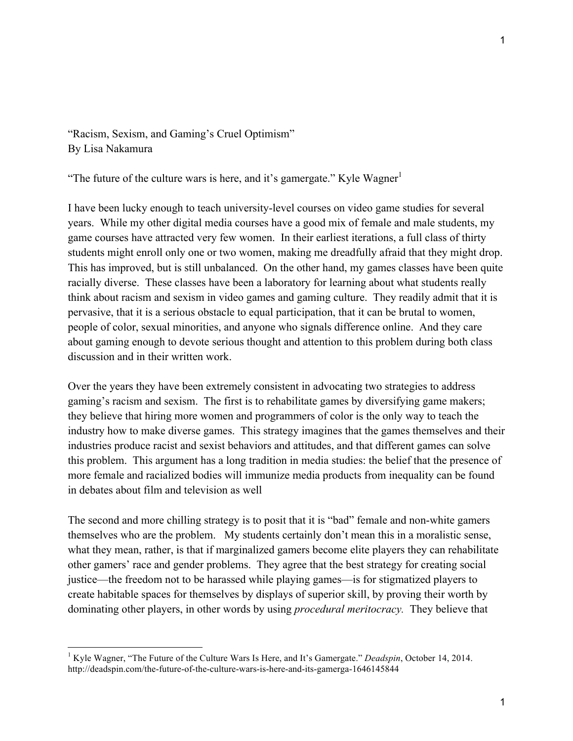"Racism, Sexism, and Gaming's Cruel Optimism" By Lisa Nakamura

"The future of the culture wars is here, and it's gamergate." Kyle Wagner $<sup>1</sup>$ </sup>

I have been lucky enough to teach university-level courses on video game studies for several years. While my other digital media courses have a good mix of female and male students, my game courses have attracted very few women. In their earliest iterations, a full class of thirty students might enroll only one or two women, making me dreadfully afraid that they might drop. This has improved, but is still unbalanced. On the other hand, my games classes have been quite racially diverse. These classes have been a laboratory for learning about what students really think about racism and sexism in video games and gaming culture. They readily admit that it is pervasive, that it is a serious obstacle to equal participation, that it can be brutal to women, people of color, sexual minorities, and anyone who signals difference online. And they care about gaming enough to devote serious thought and attention to this problem during both class discussion and in their written work.

Over the years they have been extremely consistent in advocating two strategies to address gaming's racism and sexism. The first is to rehabilitate games by diversifying game makers; they believe that hiring more women and programmers of color is the only way to teach the industry how to make diverse games. This strategy imagines that the games themselves and their industries produce racist and sexist behaviors and attitudes, and that different games can solve this problem. This argument has a long tradition in media studies: the belief that the presence of more female and racialized bodies will immunize media products from inequality can be found in debates about film and television as well

The second and more chilling strategy is to posit that it is "bad" female and non-white gamers themselves who are the problem. My students certainly don't mean this in a moralistic sense, what they mean, rather, is that if marginalized gamers become elite players they can rehabilitate other gamers' race and gender problems. They agree that the best strategy for creating social justice—the freedom not to be harassed while playing games—is for stigmatized players to create habitable spaces for themselves by displays of superior skill, by proving their worth by dominating other players, in other words by using *procedural meritocracy.* They believe that

<sup>1</sup> Kyle Wagner, "The Future of the Culture Wars Is Here, and It's Gamergate." *Deadspin*, October 14, 2014. http://deadspin.com/the-future-of-the-culture-wars-is-here-and-its-gamerga-1646145844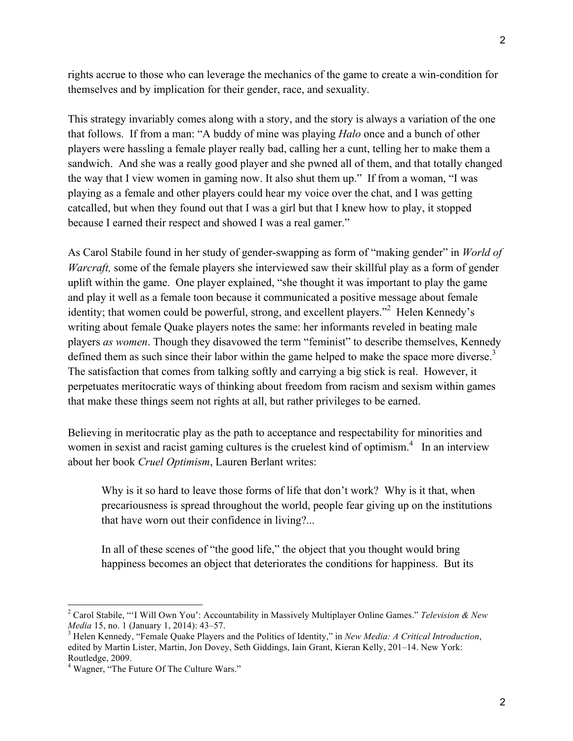rights accrue to those who can leverage the mechanics of the game to create a win-condition for themselves and by implication for their gender, race, and sexuality.

This strategy invariably comes along with a story, and the story is always a variation of the one that follows. If from a man: "A buddy of mine was playing *Halo* once and a bunch of other players were hassling a female player really bad, calling her a cunt, telling her to make them a sandwich. And she was a really good player and she pwned all of them, and that totally changed the way that I view women in gaming now. It also shut them up." If from a woman, "I was playing as a female and other players could hear my voice over the chat, and I was getting catcalled, but when they found out that I was a girl but that I knew how to play, it stopped because I earned their respect and showed I was a real gamer."

As Carol Stabile found in her study of gender-swapping as form of "making gender" in *World of Warcraft*, some of the female players she interviewed saw their skillful play as a form of gender uplift within the game. One player explained, "she thought it was important to play the game and play it well as a female toon because it communicated a positive message about female identity; that women could be powerful, strong, and excellent players.<sup>32</sup> Helen Kennedy's writing about female Quake players notes the same: her informants reveled in beating male players *as women*. Though they disavowed the term "feminist" to describe themselves, Kennedy defined them as such since their labor within the game helped to make the space more diverse.<sup>3</sup> The satisfaction that comes from talking softly and carrying a big stick is real. However, it perpetuates meritocratic ways of thinking about freedom from racism and sexism within games that make these things seem not rights at all, but rather privileges to be earned.

Believing in meritocratic play as the path to acceptance and respectability for minorities and women in sexist and racist gaming cultures is the cruelest kind of optimism.<sup>4</sup> In an interview about her book *Cruel Optimism*, Lauren Berlant writes:

Why is it so hard to leave those forms of life that don't work? Why is it that, when precariousness is spread throughout the world, people fear giving up on the institutions that have worn out their confidence in living?...

In all of these scenes of "the good life," the object that you thought would bring happiness becomes an object that deteriorates the conditions for happiness. But its

<sup>2</sup> Carol Stabile, "'I Will Own You': Accountability in Massively Multiplayer Online Games." *Television & New Media* 15, no. 1 (January 1, 2014): 43–57.<br><sup>3</sup> Helen Kennedy, "Female Quake Players and the Politics of Identity," in *New Media: A Critical Introduction*,

edited by Martin Lister, Martin, Jon Dovey, Seth Giddings, Iain Grant, Kieran Kelly, 201–14. New York: Routledge, 2009.

<sup>4</sup> Wagner, "The Future Of The Culture Wars."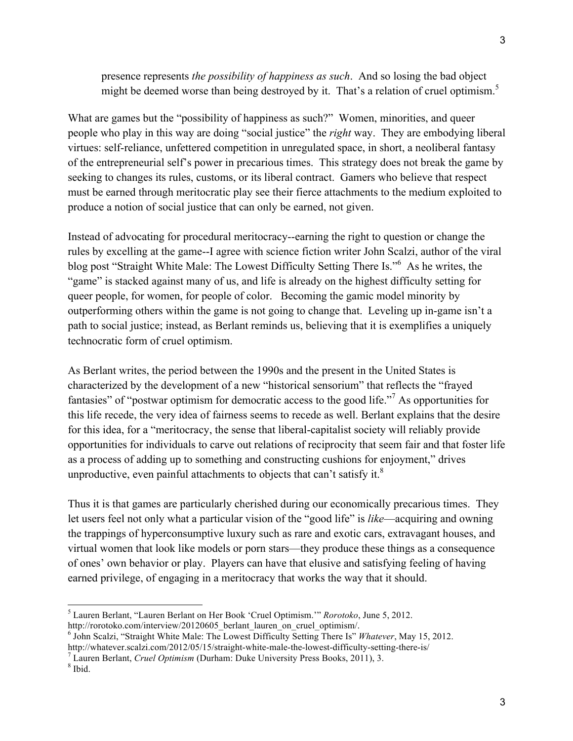presence represents *the possibility of happiness as such*. And so losing the bad object might be deemed worse than being destroyed by it. That's a relation of cruel optimism.<sup>5</sup>

What are games but the "possibility of happiness as such?" Women, minorities, and queer people who play in this way are doing "social justice" the *right* way. They are embodying liberal virtues: self-reliance, unfettered competition in unregulated space, in short, a neoliberal fantasy of the entrepreneurial self's power in precarious times. This strategy does not break the game by seeking to changes its rules, customs, or its liberal contract. Gamers who believe that respect must be earned through meritocratic play see their fierce attachments to the medium exploited to produce a notion of social justice that can only be earned, not given.

Instead of advocating for procedural meritocracy--earning the right to question or change the rules by excelling at the game--I agree with science fiction writer John Scalzi, author of the viral blog post "Straight White Male: The Lowest Difficulty Setting There Is."<sup>6</sup> As he writes, the "game" is stacked against many of us, and life is already on the highest difficulty setting for queer people, for women, for people of color. Becoming the gamic model minority by outperforming others within the game is not going to change that. Leveling up in-game isn't a path to social justice; instead, as Berlant reminds us, believing that it is exemplifies a uniquely technocratic form of cruel optimism.

As Berlant writes, the period between the 1990s and the present in the United States is characterized by the development of a new "historical sensorium" that reflects the "frayed fantasies" of "postwar optimism for democratic access to the good life."<sup>7</sup> As opportunities for this life recede, the very idea of fairness seems to recede as well. Berlant explains that the desire for this idea, for a "meritocracy, the sense that liberal-capitalist society will reliably provide opportunities for individuals to carve out relations of reciprocity that seem fair and that foster life as a process of adding up to something and constructing cushions for enjoyment," drives unproductive, even painful attachments to objects that can't satisfy it.<sup>8</sup>

Thus it is that games are particularly cherished during our economically precarious times. They let users feel not only what a particular vision of the "good life" is *like*—acquiring and owning the trappings of hyperconsumptive luxury such as rare and exotic cars, extravagant houses, and virtual women that look like models or porn stars—they produce these things as a consequence of ones' own behavior or play. Players can have that elusive and satisfying feeling of having earned privilege, of engaging in a meritocracy that works the way that it should.

<sup>5</sup> Lauren Berlant, "Lauren Berlant on Her Book 'Cruel Optimism.'" *Rorotoko*, June 5, 2012. http://rorotoko.com/interview/20120605\_berlant\_lauren\_on\_cruel\_optimism/.

<sup>6</sup> John Scalzi, "Straight White Male: The Lowest Difficulty Setting There Is" *Whatever*, May 15, 2012.

http://whatever.scalzi.com/2012/05/15/straight-white-male-the-lowest-difficulty-setting-there-is/ <sup>7</sup> Lauren Berlant, *Cruel Optimism* (Durham: Duke University Press Books, 2011), 3. <sup>8</sup> Ibid.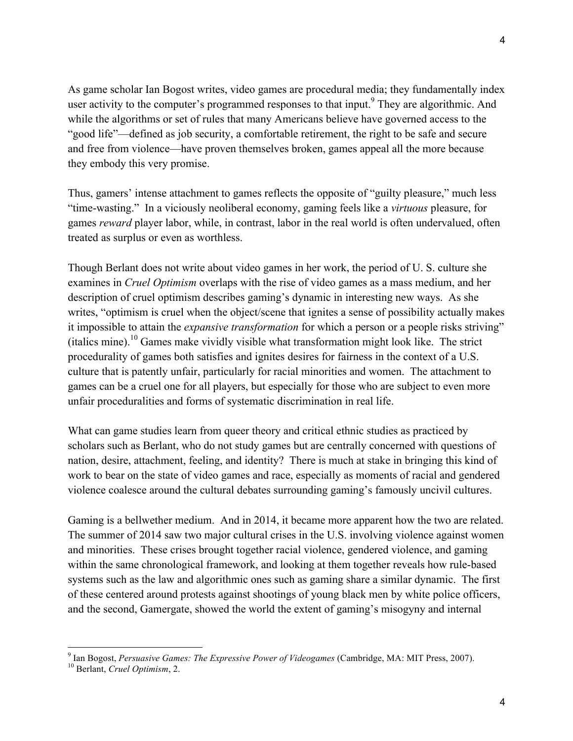As game scholar Ian Bogost writes, video games are procedural media; they fundamentally index user activity to the computer's programmed responses to that input.<sup>9</sup> They are algorithmic. And while the algorithms or set of rules that many Americans believe have governed access to the "good life"—defined as job security, a comfortable retirement, the right to be safe and secure and free from violence—have proven themselves broken, games appeal all the more because they embody this very promise.

Thus, gamers' intense attachment to games reflects the opposite of "guilty pleasure," much less "time-wasting." In a viciously neoliberal economy, gaming feels like a *virtuous* pleasure, for games *reward* player labor, while, in contrast, labor in the real world is often undervalued, often treated as surplus or even as worthless.

Though Berlant does not write about video games in her work, the period of U. S. culture she examines in *Cruel Optimism* overlaps with the rise of video games as a mass medium, and her description of cruel optimism describes gaming's dynamic in interesting new ways. As she writes, "optimism is cruel when the object/scene that ignites a sense of possibility actually makes it impossible to attain the *expansive transformation* for which a person or a people risks striving" (italics mine).<sup>10</sup> Games make vividly visible what transformation might look like. The strict procedurality of games both satisfies and ignites desires for fairness in the context of a U.S. culture that is patently unfair, particularly for racial minorities and women. The attachment to games can be a cruel one for all players, but especially for those who are subject to even more unfair proceduralities and forms of systematic discrimination in real life.

What can game studies learn from queer theory and critical ethnic studies as practiced by scholars such as Berlant, who do not study games but are centrally concerned with questions of nation, desire, attachment, feeling, and identity? There is much at stake in bringing this kind of work to bear on the state of video games and race, especially as moments of racial and gendered violence coalesce around the cultural debates surrounding gaming's famously uncivil cultures.

Gaming is a bellwether medium. And in 2014, it became more apparent how the two are related. The summer of 2014 saw two major cultural crises in the U.S. involving violence against women and minorities. These crises brought together racial violence, gendered violence, and gaming within the same chronological framework, and looking at them together reveals how rule-based systems such as the law and algorithmic ones such as gaming share a similar dynamic. The first of these centered around protests against shootings of young black men by white police officers, and the second, Gamergate, showed the world the extent of gaming's misogyny and internal

<sup>&</sup>lt;sup>9</sup> Ian Bogost, *Persuasive Games: The Expressive Power of Videogames* (Cambridge, MA: MIT Press, 2007).<br><sup>10</sup> Berlant, *Cruel Optimism*, 2.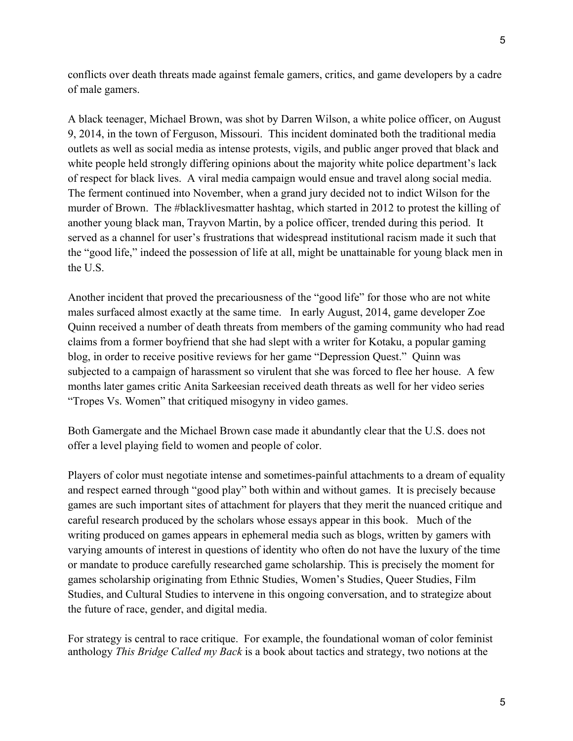conflicts over death threats made against female gamers, critics, and game developers by a cadre of male gamers.

A black teenager, Michael Brown, was shot by Darren Wilson, a white police officer, on August 9, 2014, in the town of Ferguson, Missouri. This incident dominated both the traditional media outlets as well as social media as intense protests, vigils, and public anger proved that black and white people held strongly differing opinions about the majority white police department's lack of respect for black lives. A viral media campaign would ensue and travel along social media. The ferment continued into November, when a grand jury decided not to indict Wilson for the murder of Brown. The #blacklivesmatter hashtag, which started in 2012 to protest the killing of another young black man, Trayvon Martin, by a police officer, trended during this period. It served as a channel for user's frustrations that widespread institutional racism made it such that the "good life," indeed the possession of life at all, might be unattainable for young black men in the U.S.

Another incident that proved the precariousness of the "good life" for those who are not white males surfaced almost exactly at the same time. In early August, 2014, game developer Zoe Quinn received a number of death threats from members of the gaming community who had read claims from a former boyfriend that she had slept with a writer for Kotaku, a popular gaming blog, in order to receive positive reviews for her game "Depression Quest." Quinn was subjected to a campaign of harassment so virulent that she was forced to flee her house. A few months later games critic Anita Sarkeesian received death threats as well for her video series "Tropes Vs. Women" that critiqued misogyny in video games.

Both Gamergate and the Michael Brown case made it abundantly clear that the U.S. does not offer a level playing field to women and people of color.

Players of color must negotiate intense and sometimes-painful attachments to a dream of equality and respect earned through "good play" both within and without games. It is precisely because games are such important sites of attachment for players that they merit the nuanced critique and careful research produced by the scholars whose essays appear in this book. Much of the writing produced on games appears in ephemeral media such as blogs, written by gamers with varying amounts of interest in questions of identity who often do not have the luxury of the time or mandate to produce carefully researched game scholarship. This is precisely the moment for games scholarship originating from Ethnic Studies, Women's Studies, Queer Studies, Film Studies, and Cultural Studies to intervene in this ongoing conversation, and to strategize about the future of race, gender, and digital media.

For strategy is central to race critique. For example, the foundational woman of color feminist anthology *This Bridge Called my Back* is a book about tactics and strategy, two notions at the